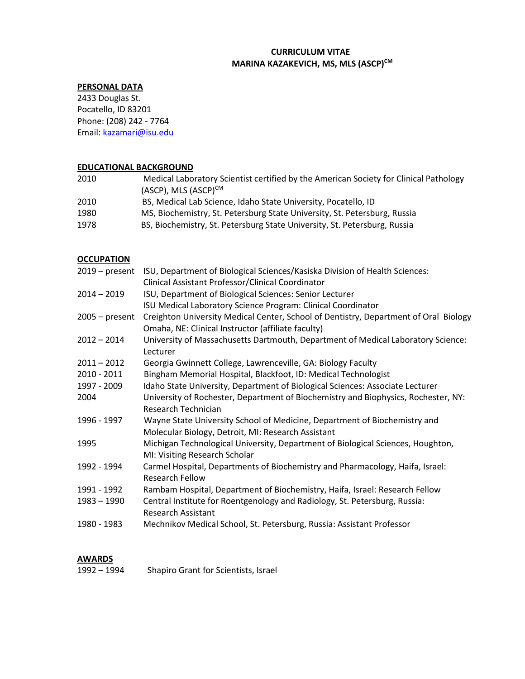# **CURRICULUM VITAE MARINA KAZAKEVICH, MS, MLS (ASCP)CM**

# **PERSONAL DATA**

2433 Douglas St. Pocatello, ID 83201 Phone: (208) 242 - 7764 Email: kazamari@isu.edu

#### **EDUCATIONAL BACKGROUND**

| Medical Laboratory Scientist certified by the American Society for Clinical Pathology<br>(ASCP), MLS (ASCP) <sup>CM</sup> |
|---------------------------------------------------------------------------------------------------------------------------|
| BS, Medical Lab Science, Idaho State University, Pocatello, ID                                                            |
| MS, Biochemistry, St. Petersburg State University, St. Petersburg, Russia                                                 |
| BS, Biochemistry, St. Petersburg State University, St. Petersburg, Russia                                                 |
|                                                                                                                           |

# **OCCUPATION**

| $2019$ – present | ISU, Department of Biological Sciences/Kasiska Division of Health Sciences:          |
|------------------|--------------------------------------------------------------------------------------|
|                  | Clinical Assistant Professor/Clinical Coordinator                                    |
| $2014 - 2019$    | ISU, Department of Biological Sciences: Senior Lecturer                              |
|                  | ISU Medical Laboratory Science Program: Clinical Coordinator                         |
| $2005 - present$ | Creighton University Medical Center, School of Dentistry, Department of Oral Biology |
|                  | Omaha, NE: Clinical Instructor (affiliate faculty)                                   |
| $2012 - 2014$    | University of Massachusetts Dartmouth, Department of Medical Laboratory Science:     |
|                  | Lecturer                                                                             |
| $2011 - 2012$    | Georgia Gwinnett College, Lawrenceville, GA: Biology Faculty                         |
| $2010 - 2011$    | Bingham Memorial Hospital, Blackfoot, ID: Medical Technologist                       |
| 1997 - 2009      | Idaho State University, Department of Biological Sciences: Associate Lecturer        |
| 2004             | University of Rochester, Department of Biochemistry and Biophysics, Rochester, NY:   |
|                  | Research Technician                                                                  |
| 1996 - 1997      | Wayne State University School of Medicine, Department of Biochemistry and            |
|                  | Molecular Biology, Detroit, MI: Research Assistant                                   |
| 1995             | Michigan Technological University, Department of Biological Sciences, Houghton,      |
|                  | MI: Visiting Research Scholar                                                        |
| 1992 - 1994      | Carmel Hospital, Departments of Biochemistry and Pharmacology, Haifa, Israel:        |
|                  | Research Fellow                                                                      |
| 1991 - 1992      | Rambam Hospital, Department of Biochemistry, Haifa, Israel: Research Fellow          |
| $1983 - 1990$    | Central Institute for Roentgenology and Radiology, St. Petersburg, Russia:           |
|                  | <b>Research Assistant</b>                                                            |
| 1980 - 1983      | Mechnikov Medical School, St. Petersburg, Russia: Assistant Professor                |
|                  |                                                                                      |

#### **AWARDS**

| 1992 - 1994 | Shapiro Grant for Scientists, Israel |
|-------------|--------------------------------------|
|-------------|--------------------------------------|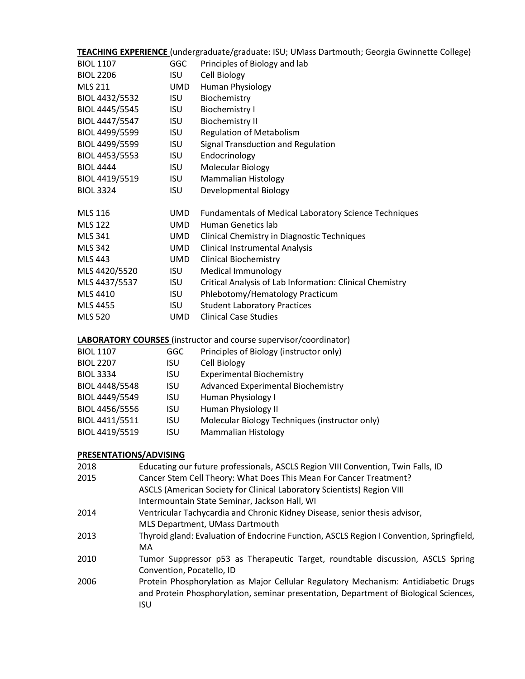|                  |            | TEACHING EXPERIENCE (undergraduate/graduate: ISU; UMass Dartmouth; Georgia Gwinnette College) |
|------------------|------------|-----------------------------------------------------------------------------------------------|
| <b>BIOL 1107</b> | <b>GGC</b> | Principles of Biology and lab                                                                 |
| <b>BIOL 2206</b> | <b>ISU</b> | Cell Biology                                                                                  |
| <b>MLS 211</b>   | <b>UMD</b> | Human Physiology                                                                              |
| BIOL 4432/5532   | <b>ISU</b> | Biochemistry                                                                                  |
| BIOL 4445/5545   | <b>ISU</b> | <b>Biochemistry I</b>                                                                         |
| BIOL 4447/5547   | <b>ISU</b> | <b>Biochemistry II</b>                                                                        |
| BIOL 4499/5599   | <b>ISU</b> | <b>Regulation of Metabolism</b>                                                               |
| BIOL 4499/5599   | <b>ISU</b> | Signal Transduction and Regulation                                                            |
| BIOL 4453/5553   | <b>ISU</b> | Endocrinology                                                                                 |
| <b>BIOL 4444</b> | <b>ISU</b> | Molecular Biology                                                                             |
| BIOL 4419/5519   | <b>ISU</b> | Mammalian Histology                                                                           |
| <b>BIOL 3324</b> | <b>ISU</b> | Developmental Biology                                                                         |
| <b>MLS 116</b>   | <b>UMD</b> | <b>Fundamentals of Medical Laboratory Science Techniques</b>                                  |
| <b>MLS 122</b>   | <b>UMD</b> | <b>Human Genetics lab</b>                                                                     |
| <b>MLS 341</b>   | <b>UMD</b> | Clinical Chemistry in Diagnostic Techniques                                                   |
| <b>MLS 342</b>   | <b>UMD</b> | <b>Clinical Instrumental Analysis</b>                                                         |
| <b>MLS 443</b>   | <b>UMD</b> | <b>Clinical Biochemistry</b>                                                                  |
| MLS 4420/5520    | <b>ISU</b> | <b>Medical Immunology</b>                                                                     |
| MLS 4437/5537    | <b>ISU</b> | Critical Analysis of Lab Information: Clinical Chemistry                                      |
| MLS 4410         | <b>ISU</b> | Phlebotomy/Hematology Practicum                                                               |
| <b>MLS 4455</b>  | <b>ISU</b> | <b>Student Laboratory Practices</b>                                                           |
| <b>MLS 520</b>   | <b>UMD</b> | <b>Clinical Case Studies</b>                                                                  |

# **LABORATORY COURSES** (instructor and course supervisor/coordinator)

| <b>BIOL 1107</b> | GGC        | Principles of Biology (instructor only)        |
|------------------|------------|------------------------------------------------|
| <b>BIOL 2207</b> | ISU        | <b>Cell Biology</b>                            |
| <b>BIOL 3334</b> | ISU        | <b>Experimental Biochemistry</b>               |
| BIOL 4448/5548   | <b>ISU</b> | Advanced Experimental Biochemistry             |
| BIOL 4449/5549   | <b>ISU</b> | Human Physiology I                             |
| BIOL 4456/5556   | ISU        | Human Physiology II                            |
| BIOL 4411/5511   | <b>ISU</b> | Molecular Biology Techniques (instructor only) |
| BIOL 4419/5519   | ISU        | Mammalian Histology                            |

# **PRESENTATIONS/ADVISING**

| 2018 | Educating our future professionals, ASCLS Region VIII Convention, Twin Falls, ID         |
|------|------------------------------------------------------------------------------------------|
| 2015 | Cancer Stem Cell Theory: What Does This Mean For Cancer Treatment?                       |
|      | ASCLS (American Society for Clinical Laboratory Scientists) Region VIII                  |
|      | Intermountain State Seminar, Jackson Hall, WI                                            |
| 2014 | Ventricular Tachycardia and Chronic Kidney Disease, senior thesis advisor,               |
|      | MLS Department, UMass Dartmouth                                                          |
| 2013 | Thyroid gland: Evaluation of Endocrine Function, ASCLS Region I Convention, Springfield, |
|      | MA                                                                                       |
| 2010 | Tumor Suppressor p53 as Therapeutic Target, roundtable discussion, ASCLS Spring          |
|      | Convention, Pocatello, ID                                                                |
| 2006 | Protein Phosphorylation as Major Cellular Regulatory Mechanism: Antidiabetic Drugs       |
|      | and Protein Phosphorylation, seminar presentation, Department of Biological Sciences,    |
|      | ISU                                                                                      |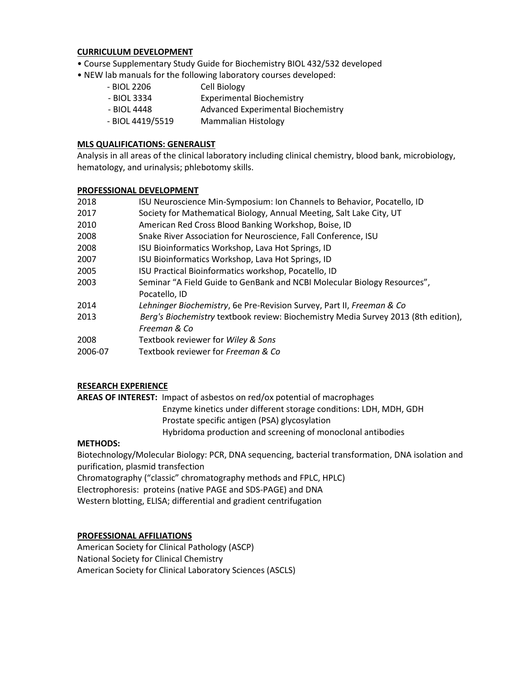#### **CURRICULUM DEVELOPMENT**

- Course Supplementary Study Guide for Biochemistry BIOL 432/532 developed
- NEW lab manuals for the following laboratory courses developed:
	- BIOL 2206 Cell Biology - BIOL 3334 Experimental Biochemistry - BIOL 4448 Advanced Experimental Biochemistry - BIOL 4419/5519 Mammalian Histology

# **MLS QUALIFICATIONS: GENERALIST**

Analysis in all areas of the clinical laboratory including clinical chemistry, blood bank, microbiology, hematology, and urinalysis; phlebotomy skills.

#### **PROFESSIONAL DEVELOPMENT**

| 2018    | ISU Neuroscience Min-Symposium: Ion Channels to Behavior, Pocatello, ID            |
|---------|------------------------------------------------------------------------------------|
| 2017    | Society for Mathematical Biology, Annual Meeting, Salt Lake City, UT               |
| 2010    | American Red Cross Blood Banking Workshop, Boise, ID                               |
| 2008    | Snake River Association for Neuroscience, Fall Conference, ISU                     |
| 2008    | ISU Bioinformatics Workshop, Lava Hot Springs, ID                                  |
| 2007    | ISU Bioinformatics Workshop, Lava Hot Springs, ID                                  |
| 2005    | ISU Practical Bioinformatics workshop, Pocatello, ID                               |
| 2003    | Seminar "A Field Guide to GenBank and NCBI Molecular Biology Resources",           |
|         | Pocatello, ID                                                                      |
| 2014    | Lehninger Biochemistry, 6e Pre-Revision Survey, Part II, Freeman & Co              |
| 2013    | Berg's Biochemistry textbook review: Biochemistry Media Survey 2013 (8th edition), |
|         | Freeman & Co                                                                       |
| 2008    | Textbook reviewer for Wiley & Sons                                                 |
| 2006-07 | Textbook reviewer for Freeman & Co                                                 |

# **RESEARCH EXPERIENCE**

**AREAS OF INTEREST:** Impact of asbestos on red/ox potential of macrophages

 Enzyme kinetics under different storage conditions: LDH, MDH, GDH Prostate specific antigen (PSA) glycosylation

Hybridoma production and screening of monoclonal antibodies

#### **METHODS:**

Biotechnology/Molecular Biology: PCR, DNA sequencing, bacterial transformation, DNA isolation and purification, plasmid transfection

Chromatography ("classic" chromatography methods and FPLC, HPLC)

Electrophoresis: proteins (native PAGE and SDS-PAGE) and DNA

Western blotting, ELISA; differential and gradient centrifugation

# **PROFESSIONAL AFFILIATIONS**

American Society for Clinical Pathology (ASCP) National Society for Clinical Chemistry American Society for Clinical Laboratory Sciences (ASCLS)